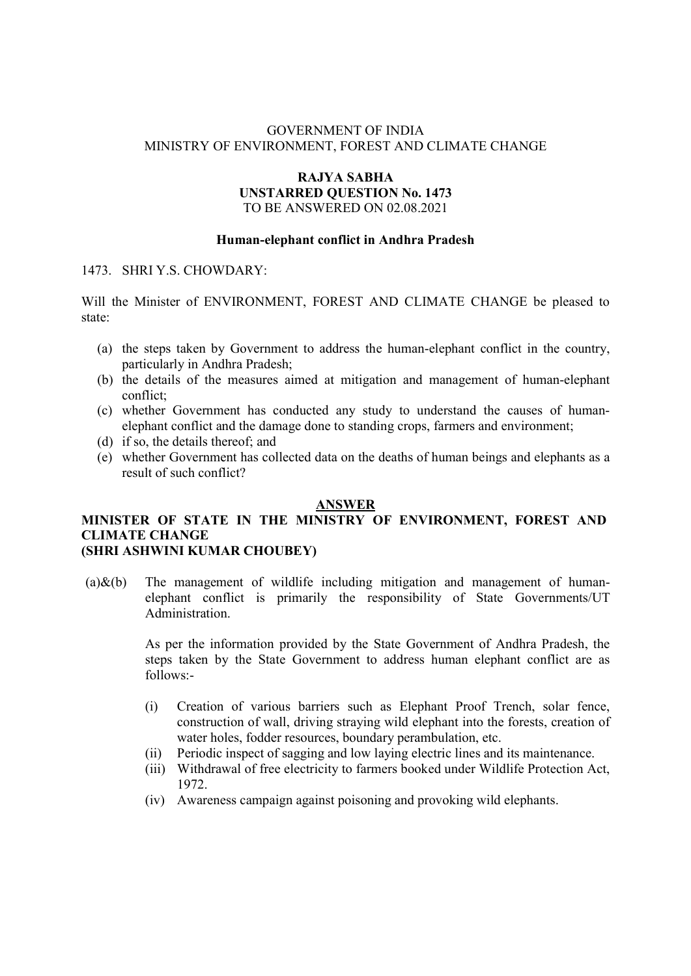# GOVERNMENT OF INDIA MINISTRY OF ENVIRONMENT, FOREST AND CLIMATE CHANGE

## RAJYA SABHA UNSTARRED QUESTION No. 1473 TO BE ANSWERED ON 02.08.2021

## Human-elephant conflict in Andhra Pradesh

#### 1473. SHRI Y.S. CHOWDARY:

Will the Minister of ENVIRONMENT, FOREST AND CLIMATE CHANGE be pleased to state:

- (a) the steps taken by Government to address the human-elephant conflict in the country, particularly in Andhra Pradesh;
- (b) the details of the measures aimed at mitigation and management of human-elephant conflict;
- (c) whether Government has conducted any study to understand the causes of humanelephant conflict and the damage done to standing crops, farmers and environment;
- (d) if so, the details thereof; and
- (e) whether Government has collected data on the deaths of human beings and elephants as a result of such conflict?

# ANSWER

# MINISTER OF STATE IN THE MINISTRY OF ENVIRONMENT, FOREST AND CLIMATE CHANGE (SHRI ASHWINI KUMAR CHOUBEY)

# (a) $\&$ (b) The management of wildlife including mitigation and management of humanelephant conflict is primarily the responsibility of State Governments/UT Administration.

As per the information provided by the State Government of Andhra Pradesh, the steps taken by the State Government to address human elephant conflict are as follows:-

- (i) Creation of various barriers such as Elephant Proof Trench, solar fence, construction of wall, driving straying wild elephant into the forests, creation of water holes, fodder resources, boundary perambulation, etc.
- (ii) Periodic inspect of sagging and low laying electric lines and its maintenance.
- (iii) Withdrawal of free electricity to farmers booked under Wildlife Protection Act, 1972.
- (iv) Awareness campaign against poisoning and provoking wild elephants.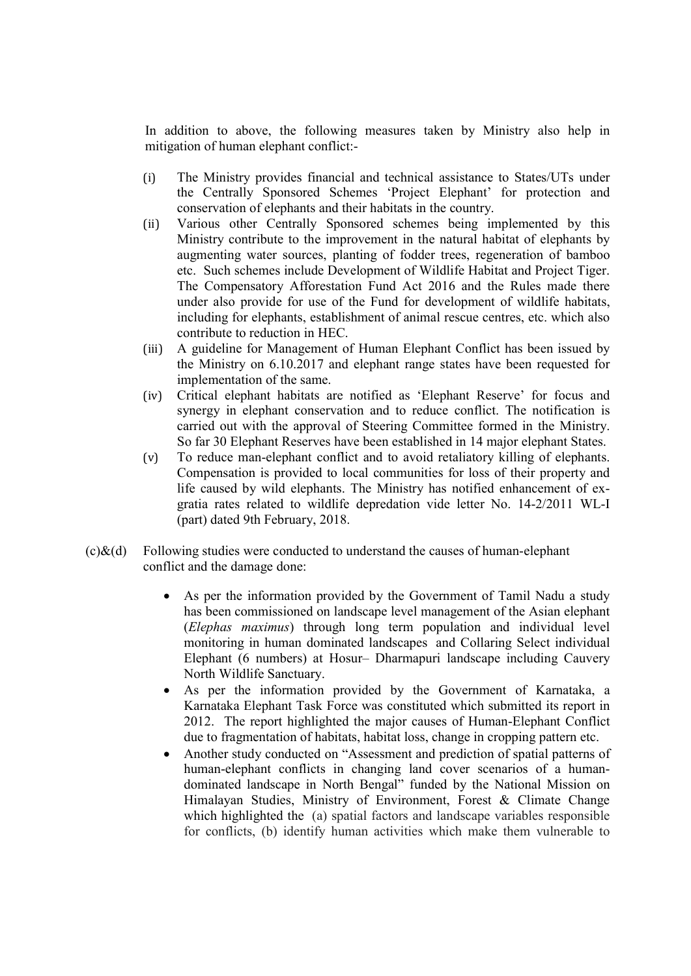In addition to above, the following measures taken by Ministry also help in mitigation of human elephant conflict:-

- (i) The Ministry provides financial and technical assistance to States/UTs under the Centrally Sponsored Schemes 'Project Elephant' for protection and conservation of elephants and their habitats in the country.
- (ii) Various other Centrally Sponsored schemes being implemented by this Ministry contribute to the improvement in the natural habitat of elephants by augmenting water sources, planting of fodder trees, regeneration of bamboo etc. Such schemes include Development of Wildlife Habitat and Project Tiger. The Compensatory Afforestation Fund Act 2016 and the Rules made there under also provide for use of the Fund for development of wildlife habitats, including for elephants, establishment of animal rescue centres, etc. which also contribute to reduction in HEC.
- (iii) A guideline for Management of Human Elephant Conflict has been issued by the Ministry on 6.10.2017 and elephant range states have been requested for implementation of the same.
- (iv) Critical elephant habitats are notified as 'Elephant Reserve' for focus and synergy in elephant conservation and to reduce conflict. The notification is carried out with the approval of Steering Committee formed in the Ministry. So far 30 Elephant Reserves have been established in 14 major elephant States.
- (v) To reduce man-elephant conflict and to avoid retaliatory killing of elephants. Compensation is provided to local communities for loss of their property and life caused by wild elephants. The Ministry has notified enhancement of exgratia rates related to wildlife depredation vide letter No. 14-2/2011 WL-I (part) dated 9th February, 2018.
- $(c)$ &(d) Following studies were conducted to understand the causes of human-elephant conflict and the damage done:
	- As per the information provided by the Government of Tamil Nadu a study has been commissioned on landscape level management of the Asian elephant (Elephas maximus) through long term population and individual level monitoring in human dominated landscapes and Collaring Select individual Elephant (6 numbers) at Hosur– Dharmapuri landscape including Cauvery North Wildlife Sanctuary.
	- As per the information provided by the Government of Karnataka, a Karnataka Elephant Task Force was constituted which submitted its report in 2012. The report highlighted the major causes of Human-Elephant Conflict due to fragmentation of habitats, habitat loss, change in cropping pattern etc.
	- Another study conducted on "Assessment and prediction of spatial patterns of human-elephant conflicts in changing land cover scenarios of a humandominated landscape in North Bengal" funded by the National Mission on Himalayan Studies, Ministry of Environment, Forest & Climate Change which highlighted the (a) spatial factors and landscape variables responsible for conflicts, (b) identify human activities which make them vulnerable to